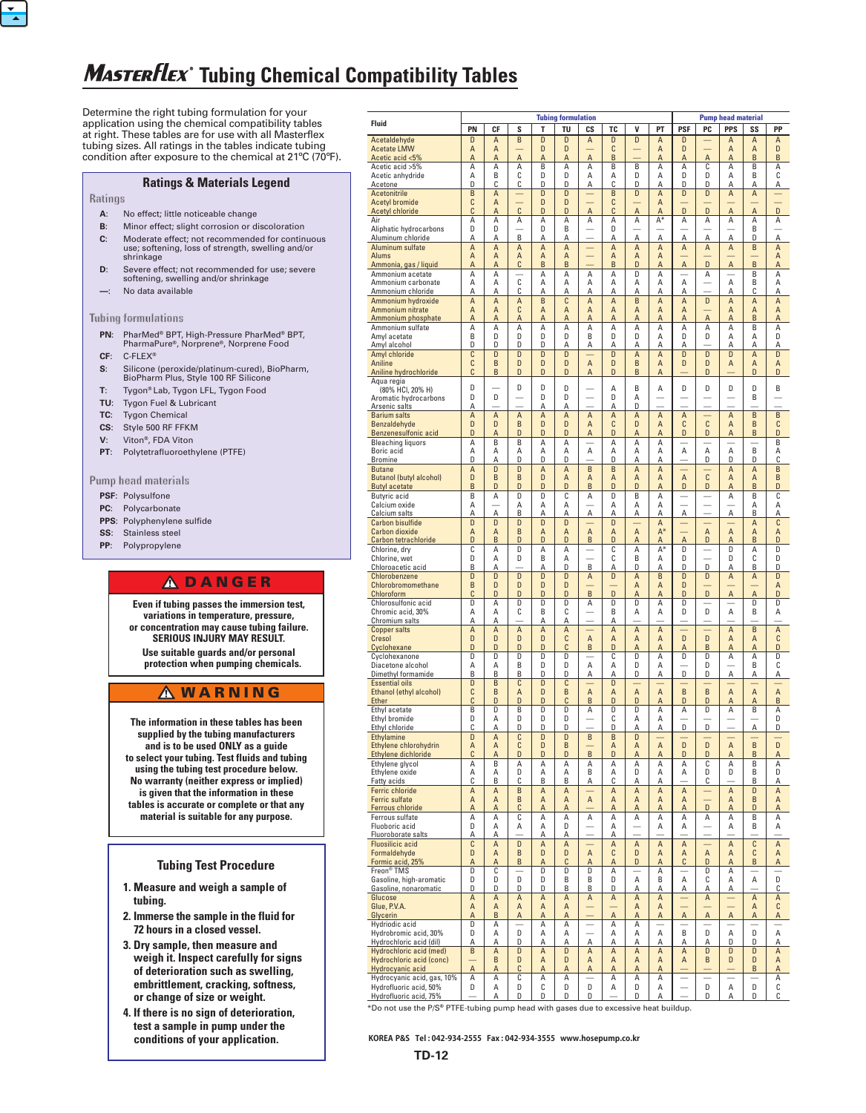# **Masterflex** Tubing Chemical Compatibility Tables

Determine the right tubing formulation for your application using the chemical compatibility tables at right. These tables are for use with all Masterflex tubing sizes. All ratings in the tables indicate tubing condition after exposure to the chemical at 21ºC (70ºF).

### **Ratings & Materials Legend**

**Ratings**

 $\frac{1}{\sqrt{2}}$ 

- **A**: No effect; little noticeable change
- **B**: Minor effect; slight corrosion or discoloration **C**: Moderate effect; not recommended for continuous use; softening, loss of strength, swelling and/or
- shrinkage **D**: Severe effect; not recommended for use; severe
- softening, swelling and/or shrinkage **—**: No data available

#### **Tubing formulations**

- **PN**: PharMed® BPT, High-Pressure PharMed® BPT, PharmaPure®, Norprene®, Norprene Food
- **CF**: C-FLEX®
- **S**: Silicone (peroxide/platinum-cured), BioPharm, BioPharm Plus, Style 100 RF Silicone
- **T**: Tygon® Lab, Tygon LFL, Tygon Food
- **TU**: Tygon Fuel & Lubricant
- **TC**: Tygon Chemical
- **CS**: Style 500 RF FFKM
- **V**: Viton®, FDA Viton
- **PT**: Polytetrafluoroethylene (PTFE)

**Pump head materials**

- **PSF**: Polysulfone
- **PC**: Polycarbonate
- **PPS**: Polyphenylene sulfide
- **SS**: Stainless steel
- **PP**: Polypropylene

#### **ADANGER**

**Even if tubing passes the immersion test, variations in temperature, pressure, or concentration may cause tubing failure. SERIOUS INJURY MAY RESULT. Use suitable guards and/or personal protection when pumping chemicals.**

### **A** WARNING

**The information in these tables has been supplied by the tubing manufacturers and is to be used ONLY as a guide to select your tubing. Test fluids and tubing using the tubing test procedure below. No warranty (neither express or implied) is given that the information in these tables is accurate or complete or that any material is suitable for any purpose.**

#### **Tubing Test Procedure**

- **1. Measure and weigh a sample of tubing.**
- **2. Immerse the sample in the fluid for 72 hours in a closed vessel.**
- **3. Dry sample, then measure and weigh it. Inspect carefully for signs of deterioration such as swelling, embrittlement, cracking, softness, or change of size or weight.**
- **4. If there is no sign of deterioration, test a sample in pump under the conditions of your application.**

|                                                        | <b>Tubing formulation</b> |        |                           |                     |                           |                                     |                     |                               |                | <b>Pump head material</b>     |                               |                                     |                               |                |  |  |
|--------------------------------------------------------|---------------------------|--------|---------------------------|---------------------|---------------------------|-------------------------------------|---------------------|-------------------------------|----------------|-------------------------------|-------------------------------|-------------------------------------|-------------------------------|----------------|--|--|
| Fluid                                                  | PN                        | СF     | S                         | т                   | TU                        | CS                                  | TC                  | V                             | PT             | <b>PSF</b>                    | PC                            | <b>PPS</b>                          | SS                            | PP             |  |  |
| Acetaldehyde                                           | D                         | A      | B                         | D<br>D              | D<br>D                    | A                                   | D<br>C              | D                             | A              | D<br>D                        |                               | A<br>A                              | A                             | A<br>D         |  |  |
| <b>Acetate LMW</b><br>Acetic acid <5%                  | A<br>$\overline{A}$       | Α<br>A | $\overline{A}$            | A                   | A                         | $\overline{A}$                      | B                   |                               | A<br>A         | A                             | A                             | A                                   | Α<br>B                        | B              |  |  |
| Acetic acid >5%                                        | A                         | A      | A                         | B                   | A                         | Α                                   | B                   | B                             | Α              | A                             | C                             | A                                   | B                             | Α              |  |  |
| Acetic anhydride<br>Acetone                            | Α<br>D                    | B<br>C | C<br>С                    | D<br>D              | D<br>D                    | Α<br>Α                              | Α<br>С              | D<br>D                        | А<br>A         | D<br>D                        | D<br>D                        | A<br>A                              | B<br>Α                        | C<br>Α         |  |  |
| <b>Acetonitrile</b>                                    | B                         | A      | -                         | D                   | D                         |                                     | B                   | D                             | $\overline{A}$ | D                             | D                             | $\overline{A}$                      | A                             |                |  |  |
| <b>Acetyl bromide</b>                                  | C                         | A      | C                         | D                   | D                         |                                     | C                   |                               | Α              | D                             | D                             |                                     |                               | D              |  |  |
| <b>Acetyl chloride</b><br>Air                          | C<br>A                    | A<br>A | Α                         | D<br>Α              | D<br>Α                    | A<br>Α                              | C<br>A              | A<br>Α                        | A<br>A*        | А                             | А                             | A<br>Α                              | $\overline{A}$<br>A           | Α              |  |  |
| Aliphatic hydrocarbons                                 | D                         | D      |                           | D                   | B                         |                                     | D                   |                               |                |                               |                               |                                     | B                             |                |  |  |
| Aluminum chloride                                      | Α<br>$\overline{A}$       | Α<br>A | B<br>A                    | А<br>$\overline{A}$ | Α<br>A                    | $\overline{\phantom{0}}$            | Α<br>$\overline{A}$ | Α<br>A                        | Α<br>A         | А<br>A                        | А<br>A                        | Α<br>$\overline{A}$                 | D<br>B                        | Α<br>A         |  |  |
| Aluminum sulfate<br><b>Alums</b>                       | A                         | A      | $\overline{A}$            | A                   | A                         |                                     | $\overline{A}$      | Α                             | A              |                               |                               |                                     |                               | Α              |  |  |
| Ammonia, gas / liquid                                  | A                         | A      | C                         | B                   | B                         |                                     | B                   | D                             | $\overline{A}$ | A                             | D                             | A                                   | B                             | A              |  |  |
| Ammonium acetate<br>Ammonium carbonate                 | A<br>Α                    | A<br>Α | C                         | A<br>А              | Α<br>Α                    | Α<br>Α                              | A<br>A              | D<br>Α                        | A<br>А         | A                             | А                             | A                                   | B<br>B                        | А<br>Α         |  |  |
| Ammonium chloride                                      | Α                         | Α      | С                         | Α                   | А                         | Α                                   | Α                   | Α                             | Α              | Α                             |                               | А                                   | C                             | А              |  |  |
| Ammonium hydroxide                                     | $\overline{A}$            | A      | $\overline{A}$            | B                   | $\overline{\mathfrak{c}}$ | $\overline{A}$                      | $\overline{A}$      | B                             | $\overline{A}$ | A                             | D                             | $\overline{A}$                      | $\overline{A}$                | A              |  |  |
| Ammonium nitrate<br>Ammonium phosphate                 | $\overline{A}$<br>A       | A<br>A | C<br>Α                    | $\overline{A}$<br>A | A<br>A                    | A<br>A                              | A<br>A              | Α<br>A                        | A<br>A         | $\overline{A}$<br>A           | A                             | A<br>A                              | Α<br>B                        | Α<br>A         |  |  |
| Ammonium sulfate                                       | A                         | A      | Α                         | A                   | Α                         | Α                                   | A                   | Α                             | Α              | A                             | Α                             | Α                                   | B                             | Α              |  |  |
| Amyl acetate                                           | B                         | D      | D                         | D                   | D                         | B                                   | D                   | D                             | Α              | D                             | D                             | A                                   | А                             | D              |  |  |
| Amyl alcohol<br>Amyl chloride                          | D<br>C                    | D<br>D | D<br>D                    | D<br>D              | Α<br>D                    | Α                                   | Α<br>D              | Α<br>A                        | А<br>A         | А<br>D                        | D                             | А<br>D                              | Α<br>$\overline{A}$           | А<br>D         |  |  |
| Aniline                                                | C                         | B      | D                         | D                   | D                         | $\overline{A}$                      | D                   | B                             | A              | D                             | D                             | A                                   | A                             | Α              |  |  |
| Aniline hydrochloride                                  | C                         | B      | D                         | D                   | D                         | A                                   | D                   | B                             | A              |                               | D                             |                                     | D                             | D              |  |  |
| Aqua regia<br>(80% HCI, 20% H)                         | D                         |        | D                         | D                   | D                         |                                     | A                   | B                             | Α              | D                             | D                             | D                                   | D                             | B              |  |  |
| Aromatic hydrocarbons                                  | D                         | D      | -                         | D                   | D                         | $\overline{\phantom{0}}$            | D                   | Α                             |                |                               |                               |                                     | B                             |                |  |  |
| Arsenic salts<br><b>Barium salts</b>                   | Α<br>$\overline{A}$       | A      | $\overline{A}$            | А<br>$\overline{A}$ | Α<br>A                    | $\overline{A}$                      | Α<br>A              | D<br>A                        | A              | $\overline{A}$                |                               | $\overline{A}$                      | B                             | B              |  |  |
| Benzaldehyde                                           | D                         | D      | B                         | D                   | D                         | A                                   | C                   | D                             | A              | C                             | C                             | A                                   | B                             | C              |  |  |
| Benzenesulfonic acid                                   | D                         | Α      | D                         | D                   | D                         | Α                                   | D                   | Α                             | Α              | D                             | D                             | Α                                   | B                             | D              |  |  |
| <b>Bleaching liquors</b><br>Boric acid                 | A<br>Α                    | B<br>Α | B<br>Α                    | А<br>Α              | Α<br>Α                    | Α                                   | Α<br>Α              | Α<br>Α                        | Α<br>Α         | А                             | Α                             | Α                                   | B                             | B<br>А         |  |  |
| <b>Bromine</b>                                         | D                         | Α      | D                         | D                   | D                         |                                     | D                   | А                             | А              |                               | D                             | D                                   | D                             | С              |  |  |
| <b>Butane</b>                                          | A                         | D      | D                         | $\overline{A}$      | A                         | B                                   | B                   | A                             | A              |                               |                               | A                                   | A                             | B              |  |  |
| <b>Butanol (butyl alcohol)</b><br><b>Butyl acetate</b> | D<br>B                    | B<br>D | B<br>D                    | D<br>D              | A<br>D                    | A<br>B                              | A<br>D              | A<br>D                        | A<br>Α         | $\overline{A}$<br>D           | C<br>D                        | A<br>Α                              | A<br>B                        | B<br>D         |  |  |
| Butyric acid                                           | B                         | Α      | D                         | D                   | С                         | A                                   | D                   | B                             | Α              |                               |                               | A                                   | B                             | C              |  |  |
| Calcium oxide                                          | Α                         | Α      | A<br>B                    | A                   | Α                         |                                     | A                   | Α                             | Α              |                               | -                             |                                     | A<br>B                        | Α              |  |  |
| Calcium salts<br><b>Carbon bisulfide</b>               | Α<br>D                    | D      | D                         | А<br>D              | Α<br>D                    | Α                                   | Α<br>D              | А                             | А<br>A         | А                             |                               | Α                                   | A                             | А<br>C         |  |  |
| <b>Carbon dioxide</b>                                  | A                         | A      | B                         | $\overline{A}$      | A                         | $\overline{A}$                      | A                   | $\overline{A}$                | $A^*$          | $\overline{\phantom{0}}$      | $\overline{A}$                | $\overline{A}$                      | A                             | Α              |  |  |
| Carbon tetrachloride<br>Chlorine, dry                  | D<br>C                    | B<br>Α | D<br>D                    | D<br>А              | D<br>Α                    | B                                   | D<br>C              | Α<br>Α                        | Α<br>$A^*$     | A<br>D                        | D                             | Α<br>D                              | B<br>A                        | D<br>D         |  |  |
| Chlorine, wet                                          | D                         | Α      | D                         | B                   | Α                         |                                     | C                   | B                             | Α              | D                             |                               | D                                   | C                             | D              |  |  |
| Chloroacetic acid                                      | B                         | Α      |                           | А                   | D                         | B                                   | Α                   | D                             | А              | D                             | D                             | Α                                   | B                             | D              |  |  |
| <b>Chlorobenzene</b><br>Chlorobromomethane             | D<br>B                    | D<br>D | D<br>D                    | D<br>D              | D<br>D                    | A                                   | D                   | A<br>A                        | B<br>A         | D<br>D                        | D                             | A                                   | A                             | D<br>A         |  |  |
| Chloroform                                             | C                         | D      | D                         | D                   | D                         | B                                   | D                   | Α                             | Α              | D                             | D                             | A                                   | A                             | D              |  |  |
| Chlorosulfonic acid                                    | D                         | Α      | D                         | D                   | D                         | A                                   | D                   | D                             | A              | D                             |                               |                                     | D                             | D              |  |  |
| Chromic acid, 30%<br>Chromium salts                    | Α<br>Α                    | A<br>А | C                         | B<br>А              | C<br>А                    | -                                   | B<br>Α              | A                             | Α              | D                             | D                             | Α                                   | B                             | Α              |  |  |
| <b>Copper salts</b>                                    | $\overline{A}$            | A      | $\overline{A}$            | $\overline{A}$      | A                         |                                     | A                   | $\overline{A}$                | A              |                               |                               | $\overline{A}$                      | B                             | $\overline{A}$ |  |  |
| Cresol<br>Cyclohexane                                  | D<br>D                    | D<br>D | D<br>D                    | D<br>D              | C<br>C                    | $\overline{A}$<br>B                 | $\overline{A}$<br>D | A<br>Α                        | A<br>Α         | D<br>A                        | D<br>B                        | A<br>Α                              | A<br>Α                        | C<br>D         |  |  |
| Cyclohexanone                                          | D                         | D      | D                         | D                   | D                         |                                     | C                   | D                             | Α              | D                             | D                             | Α                                   | Α                             | D              |  |  |
| Diacetone alcohol                                      | A                         | Α      | B                         | D                   | D                         | Α                                   | Α                   | D                             | Α              |                               | D                             |                                     | B                             | C              |  |  |
| Dimethyl formamide<br><b>Essential oils</b>            | B<br>D                    | В<br>B | В<br>C                    | D<br>D              | D<br>C                    | А                                   | А<br>D              | D                             | А              | D                             | D                             | А                                   | А                             | Α              |  |  |
| Ethanol (ethyl alcohol)                                | C                         | B      | A                         | D                   | B                         | A                                   | A                   | $\overline{A}$                | A              | B                             | B                             | A                                   | A                             | A              |  |  |
| Ether                                                  | C                         | D      | D                         | D                   | C                         | B                                   | D                   | D                             | Α              | D                             | D                             | Α                                   | Α                             | B              |  |  |
| Ethyl acetate<br>Ethyl bromide                         | B<br>D                    | D<br>Α | B<br>D                    | D<br>D              | D<br>D                    | A                                   | D<br>С              | D<br>Α                        | Α<br>Α         | A                             | D                             | A                                   | B                             | A<br>D         |  |  |
| Ethyl chloride                                         | С                         | А      | D                         | D                   | D                         |                                     | D                   | А                             | A              | D                             | D                             |                                     | A                             | D              |  |  |
| Ethylamine                                             | D                         | A      | C                         | D                   | D                         | $\sf B$                             | B                   | D                             |                | D                             |                               |                                     |                               |                |  |  |
| Ethylene chlorohydrin<br>Ethylene dichloride           | $\overline{A}$<br>C       | A<br>A | C<br>D                    | D<br>D              | B<br>D                    | B                                   | Α<br>D              | $\sf A$<br>A                  | A<br>Α         | D                             | D<br>D                        | $\sf A$<br>Α                        | B<br>B                        | D<br>Α         |  |  |
| Ethylene glycol                                        | Α                         | B      | Α                         | Α                   | А                         | Α                                   | Α                   | Α                             | Α              | A                             | С                             | Α                                   | B                             | Α              |  |  |
| Ethylene oxide<br>Fatty acids                          | Α<br>С                    | A<br>В | D<br>С                    | Α<br>В              | Α<br>В                    | B<br>Α                              | Α<br>С              | D<br>Α                        | Α<br>Α         | Α                             | D<br>С                        | D                                   | B<br>B                        | D<br>Α         |  |  |
| <b>Ferric chloride</b>                                 | A                         | Α      | B                         | A                   | Α                         |                                     | A                   | A                             | A              | $\sf A$                       | -                             | A                                   | D                             | A              |  |  |
| <b>Ferric sulfate</b>                                  | A                         | A      | B                         | $\sf A$             | Α                         | A                                   | A                   | $\sf A$                       | A              | A                             | -                             | A                                   | B                             | A              |  |  |
| <b>Ferrous chloride</b><br>Ferrous sulfate             | A<br>Α                    | A<br>Α | С<br>C                    | A<br>А              | Α<br>А                    | Α                                   | Α<br>Α              | Α<br>Α                        | Α<br>Α         | A<br>A                        | D<br>Α                        | Α<br>Α                              | D<br>B                        | Α<br>А         |  |  |
| Fluoboric acid                                         | D                         | Α      | Α                         | Α                   | D                         | -                                   | А                   | $\overline{\phantom{0}}$      | Α              | Α                             | $\overline{\phantom{0}}$      | Α                                   | B                             | Α              |  |  |
| Fluoroborate salts                                     | Α                         | Α      |                           | А                   | Α                         |                                     | Α                   |                               |                |                               |                               |                                     |                               |                |  |  |
| <b>Fluosilicic acid</b><br>Formaldehyde                | C<br>D                    | A<br>A | $\overline{D}$<br>$\sf B$ | A<br>D              | A<br>D                    | $\overline{\phantom{0}}$<br>$\sf A$ | A<br>C              | $\overline{A}$<br>D           | A<br>A         | $\sf A$<br>$\sf A$            | -<br>$\overline{A}$           | A<br>A                              | C<br>C                        | A<br>A         |  |  |
| Formic acid, 25%                                       | A                         | A      | B                         | A                   | C                         | Α                                   | A                   | D                             | A              | C                             | D                             | A                                   | B                             | A              |  |  |
| Freon <sup>®</sup> TMS<br>Gasoline, high-aromatic      | D<br>D                    | C<br>D | D                         | D<br>D              | D<br>B                    | D<br>B                              | Α<br>D              | $\overline{\phantom{0}}$<br>Α | Α<br>B         | $\overline{\phantom{0}}$<br>Α | D<br>С                        | Α<br>Α                              | $\overline{\phantom{0}}$<br>Α | -<br>D         |  |  |
| Gasoline, nonaromatic                                  | D                         | D      | D                         | D                   | В                         | B                                   | D                   | А                             | Α              | А                             | А                             | А                                   |                               | С              |  |  |
| Glucose                                                | A                         | Α      | A                         | A                   | А                         | A                                   | Α                   | A                             | A              | $\equiv$                      | Α                             | -                                   | Α                             | Α              |  |  |
| Glue, P.V.A.<br>Glycerin                               | A<br>A                    | Α<br>B | Α<br>A                    | A<br>A              | A<br>A                    |                                     | $\overline{A}$      | A<br>Α                        | Α<br>A         | $\sf A$                       | -<br>A                        | $\overline{\phantom{0}}$<br>$\sf A$ | Α<br>Α                        | C<br>A         |  |  |
| Hydriodic acid                                         | D                         | Α      |                           | A                   | Α                         |                                     | Α                   | Α                             |                |                               |                               |                                     |                               |                |  |  |
| Hydrobromic acid, 30%                                  | D                         | Α      | D                         | Α                   | A                         |                                     | Α                   | Α                             | Α              | B                             | D                             | A                                   | D                             | Α              |  |  |
| Hydrochloric acid (dil)<br>Hydrochloric acid (med)     | Α<br>$\overline{B}$       | A<br>Α | D<br>D                    | А<br>A              | Α<br>D                    | Α<br>$\overline{A}$                 | Α<br>Α              | Α<br>A                        | А<br>A         | А<br>$\overline{A}$           | А<br>D                        | D<br>D                              | D<br>D                        | А<br>Α         |  |  |
| Hydrochloric acid (conc)                               | -                         | B      | D                         | A                   | D                         | A                                   | A                   | A                             | A              | A                             | B                             | D                                   | D                             | Α              |  |  |
| Hydrocyanic acid                                       | $\sf A$                   | A      | C                         | A                   | A                         | Α                                   | A                   | Α                             | A              |                               |                               |                                     | B                             | Α              |  |  |
| Hydrocyanic acid, gas, 10%<br>Hydrofluoric acid, 50%   | Α<br>D                    | Α<br>Α | С<br>D                    | А<br>C              | Α<br>D                    | D                                   | Α<br>Α              | Α<br>D                        | Α<br>Α         |                               | $\overline{\phantom{0}}$<br>D | $\overline{\phantom{0}}$<br>Α       | $\overline{\phantom{0}}$<br>D | А<br>С         |  |  |
| Hydrofluoric acid, 75%                                 |                           | Α      | D                         | D                   | D                         | D                                   |                     | D                             | Α              |                               | D                             | A                                   | D                             | C              |  |  |

\*Do not use the P/S**®** PTFE-tubing pump head with gases due to excessive heat buildup.